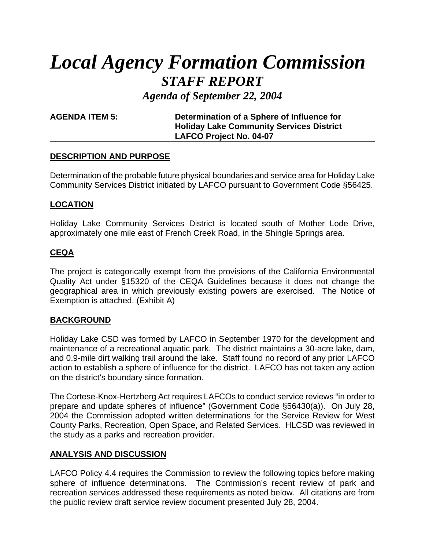# *Local Agency Formation Commission STAFF REPORT*

*Agenda of September 22, 2004*

**AGENDA ITEM 5: Determination of a Sphere of Influence for Holiday Lake Community Services District LAFCO Project No. 04-07**

## **DESCRIPTION AND PURPOSE**

Determination of the probable future physical boundaries and service area for Holiday Lake Community Services District initiated by LAFCO pursuant to Government Code §56425.

# **LOCATION**

Holiday Lake Community Services District is located south of Mother Lode Drive, approximately one mile east of French Creek Road, in the Shingle Springs area.

# **CEQA**

The project is categorically exempt from the provisions of the California Environmental Quality Act under §15320 of the CEQA Guidelines because it does not change the geographical area in which previously existing powers are exercised. The Notice of Exemption is attached. (Exhibit A)

# **BACKGROUND**

Holiday Lake CSD was formed by LAFCO in September 1970 for the development and maintenance of a recreational aquatic park. The district maintains a 30-acre lake, dam, and 0.9-mile dirt walking trail around the lake. Staff found no record of any prior LAFCO action to establish a sphere of influence for the district. LAFCO has not taken any action on the district's boundary since formation.

The Cortese-Knox-Hertzberg Act requires LAFCOs to conduct service reviews "in order to prepare and update spheres of influence" (Government Code §56430(a)). On July 28, 2004 the Commission adopted written determinations for the Service Review for West County Parks, Recreation, Open Space, and Related Services. HLCSD was reviewed in the study as a parks and recreation provider.

# **ANALYSIS AND DISCUSSION**

LAFCO Policy 4.4 requires the Commission to review the following topics before making sphere of influence determinations. The Commission's recent review of park and recreation services addressed these requirements as noted below. All citations are from the public review draft service review document presented July 28, 2004.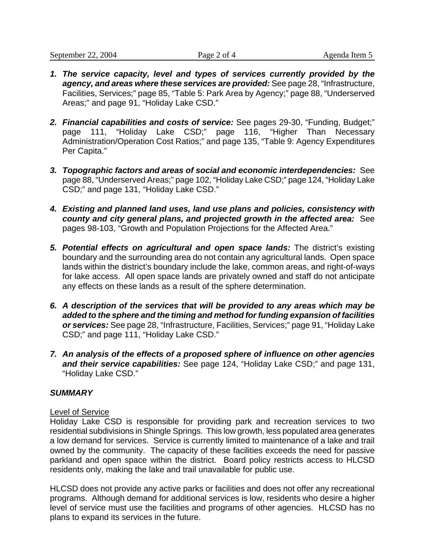- *1. The service capacity, level and types of services currently provided by the agency, and areas where these services are provided:* See page 28, "Infrastructure, Facilities, Services;" page 85, "Table 5: Park Area by Agency;" page 88, "Underserved Areas;" and page 91, "Holiday Lake CSD."
- *2. Financial capabilities and costs of service:* See pages 29-30, "Funding, Budget;" page 111, "Holiday Lake CSD;" page 116, "Higher Than Necessary Administration/Operation Cost Ratios;" and page 135, "Table 9: Agency Expenditures Per Capita."
- *3. Topographic factors and areas of social and economic interdependencies:* See page 88, "Underserved Areas;" page 102, "Holiday Lake CSD;" page 124, "Holiday Lake CSD;" and page 131, "Holiday Lake CSD."
- *4. Existing and planned land uses, land use plans and policies, consistency with county and city general plans, and projected growth in the affected area:* See pages 98-103, "Growth and Population Projections for the Affected Area."
- *5. Potential effects on agricultural and open space lands:* The district's existing boundary and the surrounding area do not contain any agricultural lands. Open space lands within the district's boundary include the lake, common areas, and right-of-ways for lake access. All open space lands are privately owned and staff do not anticipate any effects on these lands as a result of the sphere determination.
- *6. A description of the services that will be provided to any areas which may be added to the sphere and the timing and method for funding expansion of facilities or services:* See page 28, "Infrastructure, Facilities, Services;" page 91, "Holiday Lake CSD;" and page 111, "Holiday Lake CSD."
- *7. An analysis of the effects of a proposed sphere of influence on other agencies and their service capabilities:* See page 124, "Holiday Lake CSD;" and page 131, "Holiday Lake CSD."

# *SUMMARY*

#### Level of Service

Holiday Lake CSD is responsible for providing park and recreation services to two residential subdivisions in Shingle Springs. This low growth, less populated area generates a low demand for services. Service is currently limited to maintenance of a lake and trail owned by the community. The capacity of these facilities exceeds the need for passive parkland and open space within the district. Board policy restricts access to HLCSD residents only, making the lake and trail unavailable for public use.

HLCSD does not provide any active parks or facilities and does not offer any recreational programs. Although demand for additional services is low, residents who desire a higher level of service must use the facilities and programs of other agencies. HLCSD has no plans to expand its services in the future.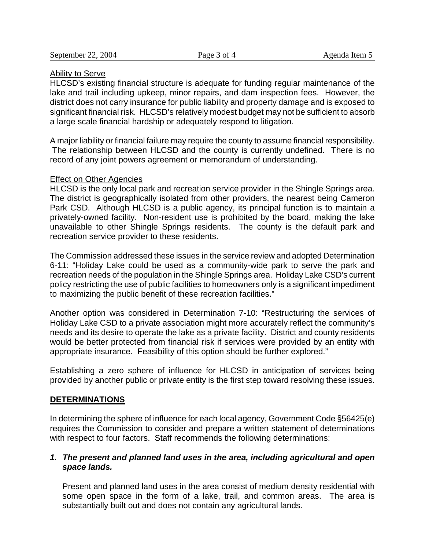#### Ability to Serve

HLCSD's existing financial structure is adequate for funding regular maintenance of the lake and trail including upkeep, minor repairs, and dam inspection fees. However, the district does not carry insurance for public liability and property damage and is exposed to significant financial risk. HLCSD's relatively modest budget may not be sufficient to absorb a large scale financial hardship or adequately respond to litigation.

A major liability or financial failure may require the county to assume financial responsibility. The relationship between HLCSD and the county is currently undefined. There is no record of any joint powers agreement or memorandum of understanding.

#### Effect on Other Agencies

HLCSD is the only local park and recreation service provider in the Shingle Springs area. The district is geographically isolated from other providers, the nearest being Cameron Park CSD. Although HLCSD is a public agency, its principal function is to maintain a privately-owned facility. Non-resident use is prohibited by the board, making the lake unavailable to other Shingle Springs residents. The county is the default park and recreation service provider to these residents.

The Commission addressed these issues in the service review and adopted Determination 6-11: "Holiday Lake could be used as a community-wide park to serve the park and recreation needs of the population in the Shingle Springs area. Holiday Lake CSD's current policy restricting the use of public facilities to homeowners only is a significant impediment to maximizing the public benefit of these recreation facilities."

Another option was considered in Determination 7-10: "Restructuring the services of Holiday Lake CSD to a private association might more accurately reflect the community's needs and its desire to operate the lake as a private facility. District and county residents would be better protected from financial risk if services were provided by an entity with appropriate insurance. Feasibility of this option should be further explored."

Establishing a zero sphere of influence for HLCSD in anticipation of services being provided by another public or private entity is the first step toward resolving these issues.

#### **DETERMINATIONS**

In determining the sphere of influence for each local agency, Government Code §56425(e) requires the Commission to consider and prepare a written statement of determinations with respect to four factors. Staff recommends the following determinations:

## *1. The present and planned land uses in the area, including agricultural and open space lands.*

Present and planned land uses in the area consist of medium density residential with some open space in the form of a lake, trail, and common areas. The area is substantially built out and does not contain any agricultural lands.